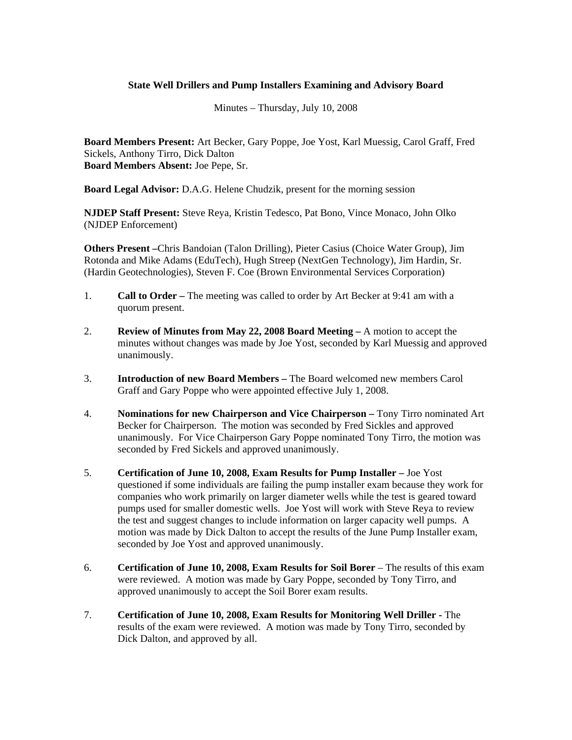## **State Well Drillers and Pump Installers Examining and Advisory Board**

Minutes – Thursday, July 10, 2008

**Board Members Present:** Art Becker, Gary Poppe, Joe Yost, Karl Muessig, Carol Graff, Fred Sickels, Anthony Tirro, Dick Dalton **Board Members Absent:** Joe Pepe, Sr.

**Board Legal Advisor:** D.A.G. Helene Chudzik, present for the morning session

**NJDEP Staff Present:** Steve Reya, Kristin Tedesco, Pat Bono, Vince Monaco, John Olko (NJDEP Enforcement)

**Others Present –**Chris Bandoian (Talon Drilling), Pieter Casius (Choice Water Group), Jim Rotonda and Mike Adams (EduTech), Hugh Streep (NextGen Technology), Jim Hardin, Sr. (Hardin Geotechnologies), Steven F. Coe (Brown Environmental Services Corporation)

- 1. **Call to Order** The meeting was called to order by Art Becker at 9:41 am with a quorum present.
- 2. **Review of Minutes from May 22, 2008 Board Meeting** A motion to accept the minutes without changes was made by Joe Yost, seconded by Karl Muessig and approved unanimously.
- 3. **Introduction of new Board Members** The Board welcomed new members Carol Graff and Gary Poppe who were appointed effective July 1, 2008.
- 4. **Nominations for new Chairperson and Vice Chairperson** Tony Tirro nominated Art Becker for Chairperson. The motion was seconded by Fred Sickles and approved unanimously. For Vice Chairperson Gary Poppe nominated Tony Tirro, the motion was seconded by Fred Sickels and approved unanimously.
- 5. **Certification of June 10, 2008, Exam Results for Pump Installer –** Joe Yost questioned if some individuals are failing the pump installer exam because they work for companies who work primarily on larger diameter wells while the test is geared toward pumps used for smaller domestic wells. Joe Yost will work with Steve Reya to review the test and suggest changes to include information on larger capacity well pumps. A motion was made by Dick Dalton to accept the results of the June Pump Installer exam, seconded by Joe Yost and approved unanimously.
- 6. **Certification of June 10, 2008, Exam Results for Soil Borer** The results of this exam were reviewed. A motion was made by Gary Poppe, seconded by Tony Tirro, and approved unanimously to accept the Soil Borer exam results.
- 7. **Certification of June 10, 2008, Exam Results for Monitoring Well Driller** The results of the exam were reviewed. A motion was made by Tony Tirro, seconded by Dick Dalton, and approved by all.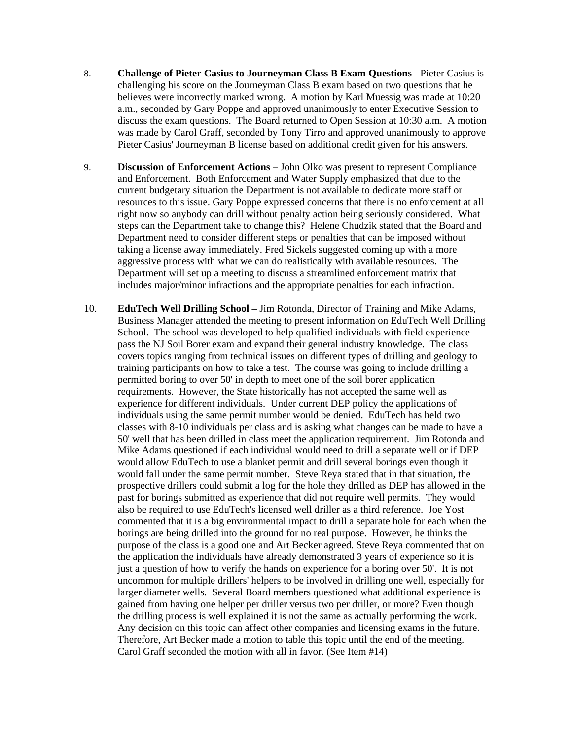- 8. **Challenge of Pieter Casius to Journeyman Class B Exam Questions -** Pieter Casius is challenging his score on the Journeyman Class B exam based on two questions that he believes were incorrectly marked wrong. A motion by Karl Muessig was made at 10:20 a.m., seconded by Gary Poppe and approved unanimously to enter Executive Session to discuss the exam questions. The Board returned to Open Session at 10:30 a.m. A motion was made by Carol Graff, seconded by Tony Tirro and approved unanimously to approve Pieter Casius' Journeyman B license based on additional credit given for his answers.
- 9. **Discussion of Enforcement Actions –** John Olko was present to represent Compliance and Enforcement. Both Enforcement and Water Supply emphasized that due to the current budgetary situation the Department is not available to dedicate more staff or resources to this issue. Gary Poppe expressed concerns that there is no enforcement at all right now so anybody can drill without penalty action being seriously considered. What steps can the Department take to change this? Helene Chudzik stated that the Board and Department need to consider different steps or penalties that can be imposed without taking a license away immediately. Fred Sickels suggested coming up with a more aggressive process with what we can do realistically with available resources. The Department will set up a meeting to discuss a streamlined enforcement matrix that includes major/minor infractions and the appropriate penalties for each infraction.
- 10. **EduTech Well Drilling School –** Jim Rotonda, Director of Training and Mike Adams, Business Manager attended the meeting to present information on EduTech Well Drilling School. The school was developed to help qualified individuals with field experience pass the NJ Soil Borer exam and expand their general industry knowledge. The class covers topics ranging from technical issues on different types of drilling and geology to training participants on how to take a test. The course was going to include drilling a permitted boring to over 50' in depth to meet one of the soil borer application requirements. However, the State historically has not accepted the same well as experience for different individuals. Under current DEP policy the applications of individuals using the same permit number would be denied. EduTech has held two classes with 8-10 individuals per class and is asking what changes can be made to have a 50' well that has been drilled in class meet the application requirement. Jim Rotonda and Mike Adams questioned if each individual would need to drill a separate well or if DEP would allow EduTech to use a blanket permit and drill several borings even though it would fall under the same permit number. Steve Reya stated that in that situation, the prospective drillers could submit a log for the hole they drilled as DEP has allowed in the past for borings submitted as experience that did not require well permits. They would also be required to use EduTech's licensed well driller as a third reference. Joe Yost commented that it is a big environmental impact to drill a separate hole for each when the borings are being drilled into the ground for no real purpose. However, he thinks the purpose of the class is a good one and Art Becker agreed. Steve Reya commented that on the application the individuals have already demonstrated 3 years of experience so it is just a question of how to verify the hands on experience for a boring over 50'. It is not uncommon for multiple drillers' helpers to be involved in drilling one well, especially for larger diameter wells. Several Board members questioned what additional experience is gained from having one helper per driller versus two per driller, or more? Even though the drilling process is well explained it is not the same as actually performing the work. Any decision on this topic can affect other companies and licensing exams in the future. Therefore, Art Becker made a motion to table this topic until the end of the meeting. Carol Graff seconded the motion with all in favor. (See Item #14)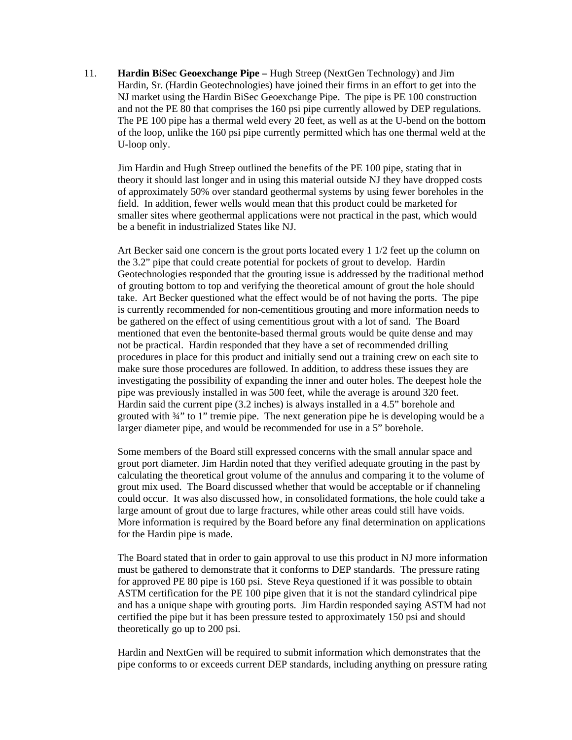11. **Hardin BiSec Geoexchange Pipe –** Hugh Streep (NextGen Technology) and Jim Hardin, Sr. (Hardin Geotechnologies) have joined their firms in an effort to get into the NJ market using the Hardin BiSec Geoexchange Pipe. The pipe is PE 100 construction and not the PE 80 that comprises the 160 psi pipe currently allowed by DEP regulations. The PE 100 pipe has a thermal weld every 20 feet, as well as at the U-bend on the bottom of the loop, unlike the 160 psi pipe currently permitted which has one thermal weld at the U-loop only.

Jim Hardin and Hugh Streep outlined the benefits of the PE 100 pipe, stating that in theory it should last longer and in using this material outside NJ they have dropped costs of approximately 50% over standard geothermal systems by using fewer boreholes in the field. In addition, fewer wells would mean that this product could be marketed for smaller sites where geothermal applications were not practical in the past, which would be a benefit in industrialized States like NJ.

Art Becker said one concern is the grout ports located every 1 1/2 feet up the column on the 3.2" pipe that could create potential for pockets of grout to develop. Hardin Geotechnologies responded that the grouting issue is addressed by the traditional method of grouting bottom to top and verifying the theoretical amount of grout the hole should take. Art Becker questioned what the effect would be of not having the ports. The pipe is currently recommended for non-cementitious grouting and more information needs to be gathered on the effect of using cementitious grout with a lot of sand. The Board mentioned that even the bentonite-based thermal grouts would be quite dense and may not be practical. Hardin responded that they have a set of recommended drilling procedures in place for this product and initially send out a training crew on each site to make sure those procedures are followed. In addition, to address these issues they are investigating the possibility of expanding the inner and outer holes. The deepest hole the pipe was previously installed in was 500 feet, while the average is around 320 feet. Hardin said the current pipe (3.2 inches) is always installed in a 4.5" borehole and grouted with ¾" to 1" tremie pipe. The next generation pipe he is developing would be a larger diameter pipe, and would be recommended for use in a 5" borehole.

Some members of the Board still expressed concerns with the small annular space and grout port diameter. Jim Hardin noted that they verified adequate grouting in the past by calculating the theoretical grout volume of the annulus and comparing it to the volume of grout mix used. The Board discussed whether that would be acceptable or if channeling could occur. It was also discussed how, in consolidated formations, the hole could take a large amount of grout due to large fractures, while other areas could still have voids. More information is required by the Board before any final determination on applications for the Hardin pipe is made.

The Board stated that in order to gain approval to use this product in NJ more information must be gathered to demonstrate that it conforms to DEP standards. The pressure rating for approved PE 80 pipe is 160 psi. Steve Reya questioned if it was possible to obtain ASTM certification for the PE 100 pipe given that it is not the standard cylindrical pipe and has a unique shape with grouting ports. Jim Hardin responded saying ASTM had not certified the pipe but it has been pressure tested to approximately 150 psi and should theoretically go up to 200 psi.

Hardin and NextGen will be required to submit information which demonstrates that the pipe conforms to or exceeds current DEP standards, including anything on pressure rating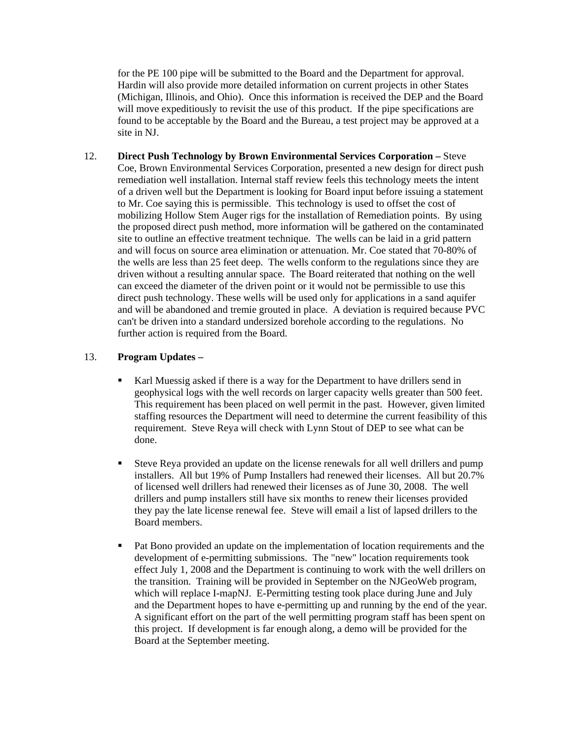for the PE 100 pipe will be submitted to the Board and the Department for approval. Hardin will also provide more detailed information on current projects in other States (Michigan, Illinois, and Ohio). Once this information is received the DEP and the Board will move expeditiously to revisit the use of this product. If the pipe specifications are found to be acceptable by the Board and the Bureau, a test project may be approved at a site in NJ.

12. **Direct Push Technology by Brown Environmental Services Corporation –** Steve Coe, Brown Environmental Services Corporation, presented a new design for direct push remediation well installation. Internal staff review feels this technology meets the intent of a driven well but the Department is looking for Board input before issuing a statement to Mr. Coe saying this is permissible. This technology is used to offset the cost of mobilizing Hollow Stem Auger rigs for the installation of Remediation points. By using the proposed direct push method, more information will be gathered on the contaminated site to outline an effective treatment technique. The wells can be laid in a grid pattern and will focus on source area elimination or attenuation. Mr. Coe stated that 70-80% of the wells are less than 25 feet deep. The wells conform to the regulations since they are driven without a resulting annular space. The Board reiterated that nothing on the well can exceed the diameter of the driven point or it would not be permissible to use this direct push technology. These wells will be used only for applications in a sand aquifer and will be abandoned and tremie grouted in place. A deviation is required because PVC can't be driven into a standard undersized borehole according to the regulations. No further action is required from the Board.

## 13. **Program Updates –**

- Karl Muessig asked if there is a way for the Department to have drillers send in geophysical logs with the well records on larger capacity wells greater than 500 feet. This requirement has been placed on well permit in the past. However, given limited staffing resources the Department will need to determine the current feasibility of this requirement. Steve Reya will check with Lynn Stout of DEP to see what can be done.
- Steve Reya provided an update on the license renewals for all well drillers and pump installers. All but 19% of Pump Installers had renewed their licenses. All but 20.7% of licensed well drillers had renewed their licenses as of June 30, 2008. The well drillers and pump installers still have six months to renew their licenses provided they pay the late license renewal fee. Steve will email a list of lapsed drillers to the Board members.
- Pat Bono provided an update on the implementation of location requirements and the development of e-permitting submissions. The "new" location requirements took effect July 1, 2008 and the Department is continuing to work with the well drillers on the transition. Training will be provided in September on the NJGeoWeb program, which will replace I-mapNJ. E-Permitting testing took place during June and July and the Department hopes to have e-permitting up and running by the end of the year. A significant effort on the part of the well permitting program staff has been spent on this project. If development is far enough along, a demo will be provided for the Board at the September meeting.